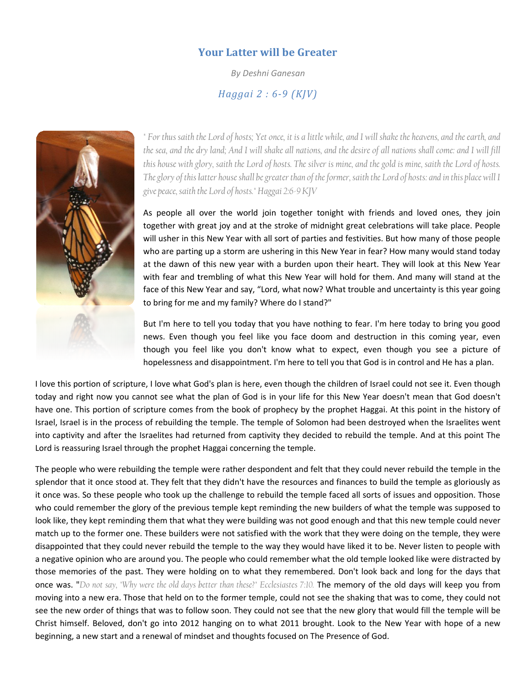## Your Latter will be Greater

By Deshni Ganesan

## Haggai 2 : 6-9 (KJV)



" For thus saith the Lord of hosts; Yet once, it is a little while, and I will shake the heavens, and the earth, and the sea, and the dry land; And I will shake all nations, and the desire of all nations shall come: and I will fill this house with glory, saith the Lord of hosts. The silver is mine, and the gold is mine, saith the Lord of hosts. The glory of this latter house shall be greater than of the former, saith the Lord of hosts: and in this place will I<br>give peace, saith the Lord of hosts." Haggai 2:6-9 KJV give peace, saith the Lord of hosts." Haggai 2:6-9 KJV r thus saith the Lord of hosts; Yet once, it is a little while, and I will shake the heavens, and the earth, and<br>|ea, and the dry land; And I will shake all nations, and the desire of all nations shall come: and I will fil

As people all over the world join together tonight with friends and loved ones, they join As people all over the world join together tonight with friends and loved ones, they join<br>together with great joy and at the stroke of midnight great celebrations will take place. People will usher in this New Year with all sort of parties and festivities. But how many of those people who are parting up a storm are ushering in this New Year in fear? How many would stand today at the dawn of this new year with a burden upon their heart. They will look at this with fear and trembling of what this New Year will hold for them. And many will stand at the face of this New Year and say, "Lord, what now? What trouble and uncertainty is this year going to bring for me and my family? Where do I stand?"

But I'm here to tell you today that you have nothing to fear. I'm here today to bring you good news. Even though you feel like you face doom and destruction in this coming year, even to bring for me and my family? Where do I stand?"<br>But I'm here to tell you today that you have nothing to fear. I'm here today to bring you good<br>news. Even though you feel like you face doom and destruction in this coming hopelessness and disappointment. I'm here to tell you that God is in control and He has a plan.

hopelessness and disappointment. I'm here to tell you that God is in control and He has a plan.<br>I love this portion of scripture, I love what God's plan is here, even though the children of Israel could not see it. Even th though you feel like you don't know what to expect, even though you see a picture of<br>hopelessness and disappointment. I'm here to tell you that God is in control and He has a plan.<br>I love this portion of scripture, I love have one. This portion of scripture comes from the book of prophecy by the prophet Haggai. At this point in the history of Israel, Israel is in the process of rebuilding the temple. The temple of Solomon had been destroyed when the Israelites went Israel, Israel is in the process of rebuilding the temple. The temple of Solomon had been destroyed when the Israelites went<br>into captivity and after the Israelites had returned from captivity they decided to rebuild the t Lord is reassuring Israel through the prophet Haggai concerning the temple.

Lord is reassuring Israel through the prophet Haggai concerning the temple.<br>The people who were rebuilding the temple were rather despondent and felt that they could never rebuild the temple in the splendor that it once stood at. They felt that they didn't have the resources and finances to build the temple as gloriously as it once was. So these people who took up the challenge to rebuild the temple faced all sorts of issues and opposition. Those<br>who could remember the glory of the previous temple kept reminding the new builders of what the t who could remember the glory of the previous temple kept reminding the new builders of what the temple was supposed to look like, they kept reminding them that what they were building was not good enough and that this new temple could never match up to the former one. These builders were not satisfied with the work that they were doing on the temple, they were disappointed that they could never rebuild the temple to the way they would have liked it to be. Never listen to people with a negative opinion who are around you. The people who could remember what the old temple looked like were distracted by a negative opinion who are around you. The people who could remember what the old temple looked like were distracted by<br>those memories of the past. They were holding on to what they remembered. Don't look back and long for once was. "Do not say, "Why were the old days better than these?" Ecclesiastes 7:10. The memory of the old days will keep you from moving into a new era. Those that held on to the former temple, could not see the shaking that was to come, they could not see the new order of things that was to follow soon. They could not see that the new glory that would fill the temple will be Christ himself. Beloved, don't go into 2012 hanging on to what 2011 brought. Look to the New Year with hope of a new beginning, a new start and a renewal of mindset and thoughts focused on The Presence of God. k like, they kept reminding them that what they were building was not good enough and that this new temple could never<br>tch up to the former one. These builders were not satisfied with the work that they were doing on the t *lony* saith the Land of hosts. The shire is mine, and the gold is mine, saith the Land of hosts.<br>Intert house shall be greater than of the former, saith the Land of hosts' and in this place will 1<br>of the Land of hosts.'